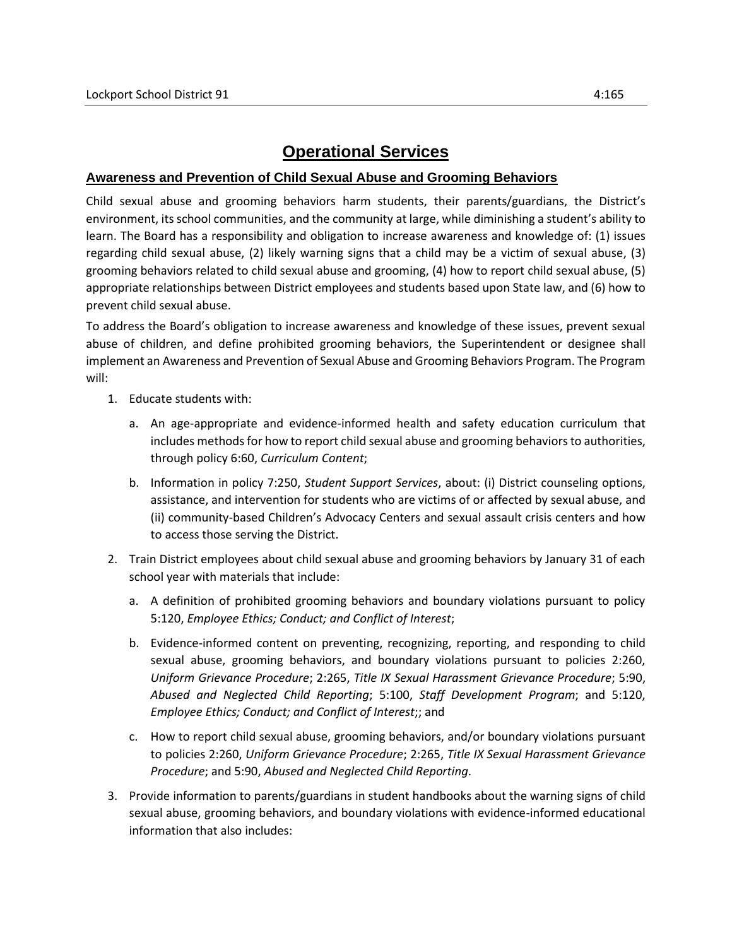## **Operational Services**

## **Awareness and Prevention of Child Sexual Abuse and Grooming Behaviors**

Child sexual abuse and grooming behaviors harm students, their parents/guardians, the District's environment, its school communities, and the community at large, while diminishing a student's ability to learn. The Board has a responsibility and obligation to increase awareness and knowledge of: (1) issues regarding child sexual abuse, (2) likely warning signs that a child may be a victim of sexual abuse, (3) grooming behaviors related to child sexual abuse and grooming, (4) how to report child sexual abuse, (5) appropriate relationships between District employees and students based upon State law, and (6) how to prevent child sexual abuse.

To address the Board's obligation to increase awareness and knowledge of these issues, prevent sexual abuse of children, and define prohibited grooming behaviors, the Superintendent or designee shall implement an Awareness and Prevention of Sexual Abuse and Grooming Behaviors Program. The Program will:

- 1. Educate students with:
	- a. An age-appropriate and evidence-informed health and safety education curriculum that includes methods for how to report child sexual abuse and grooming behaviors to authorities, through policy 6:60, *Curriculum Content*;
	- b. Information in policy 7:250, *Student Support Services*, about: (i) District counseling options, assistance, and intervention for students who are victims of or affected by sexual abuse, and (ii) community-based Children's Advocacy Centers and sexual assault crisis centers and how to access those serving the District.
- 2. Train District employees about child sexual abuse and grooming behaviors by January 31 of each school year with materials that include:
	- a. A definition of prohibited grooming behaviors and boundary violations pursuant to policy 5:120, *Employee Ethics; Conduct; and Conflict of Interest*;
	- b. Evidence-informed content on preventing, recognizing, reporting, and responding to child sexual abuse, grooming behaviors, and boundary violations pursuant to policies 2:260, *Uniform Grievance Procedure*; 2:265, *Title IX Sexual Harassment Grievance Procedure*; 5:90, *Abused and Neglected Child Reporting*; 5:100, *Staff Development Program*; and 5:120, *Employee Ethics; Conduct; and Conflict of Interest*;; and
	- c. How to report child sexual abuse, grooming behaviors, and/or boundary violations pursuant to policies 2:260, *Uniform Grievance Procedure*; 2:265, *Title IX Sexual Harassment Grievance Procedure*; and 5:90, *Abused and Neglected Child Reporting*.
- 3. Provide information to parents/guardians in student handbooks about the warning signs of child sexual abuse, grooming behaviors, and boundary violations with evidence-informed educational information that also includes: